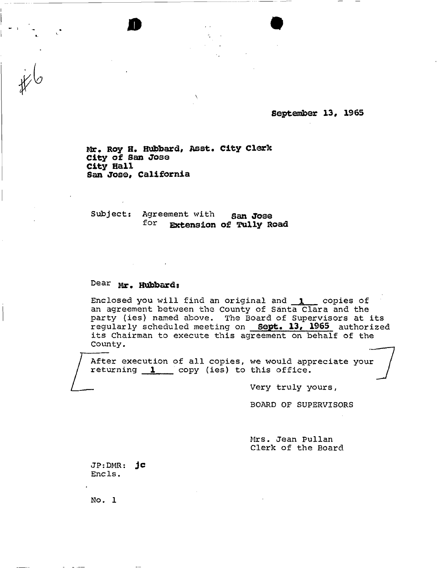**September 13, 1965** 

Mr. Roy H. Hubbard, Asst. City Clerk **City of San Jose City Hall**  San Jose, California

**o •** 

\

Subject: Agreement with **San Jose**<br> **for Extension of Euliver Extension of Tully Road** 

## Dear M**r. Hubbard**;

**Enclosed you will find an original and 1 copies of an agreement between the County of Santa Clara and the party (ies) named above. The Board of Supervisors at its**  regularly scheduled meeting on **Sept. 13, 1965** authorized **its Chairman to execute this agreement on behalf of the County.** 

**After execution of all copies, we would appreciate your returning 1 copy (ies) to this office.** 

**Very truly yours,** 

**BOARD OF SUPERVISORS** 

**Mrs. Jean Pullan Clerk of the Board** 

**JP:DMR: Jc Encls.** 

**No. 1**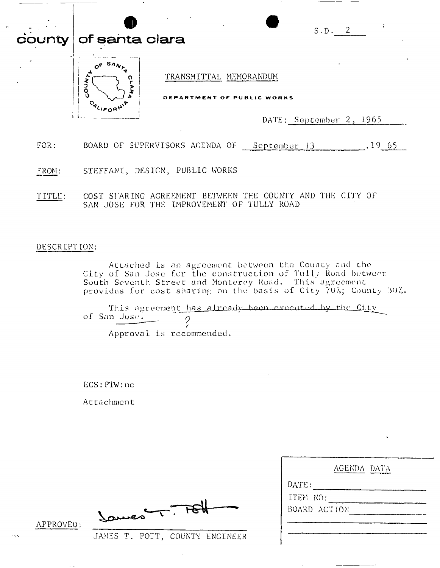|      | S.D.<br>county of santa clara                                                                  |
|------|------------------------------------------------------------------------------------------------|
|      | TRANSMITTAL MEMORANDUM<br>٥<br>DEPARTMENT OF PUBLIC WORKS<br>Ω.<br>DATE: September 2,<br>-1965 |
| FOR: | BOARD OF SUPERVISORS AGENDA OF<br>September 13<br>.19 65                                       |

FROM: STEFFANI, DESIGN, PUBLIC WORKS

TITLE: COST SHARING AGREEMENT BETWEEN THE COUNTY AND THE CITY OF SAN JOSE FOR THE IMPROVEMENT OF TULLY ROAD

## DESCRIPTION:

Attached Is an agreement between the County and the City of San Jose for the construction of Tully Road between South Seventh Street and Monterey Road. This agreement provides for cost sharing on the basis of City 70%; County 30%.

This agreement has already been executed by the disclusion of San Jose.  $\frac{1}{2}$ 

Approval is recommended.

 $ECS: PTW:nc$ 

Attachment

|                   | AGENDA DATA  |  |
|-------------------|--------------|--|
| $\mathsf{DATE}$ : |              |  |
| ITEM NO:          |              |  |
|                   | BOARD ACTION |  |

 $-76$ Launes

APPROVED:

166

JAMES T. POTT, COUNTY ENGINEER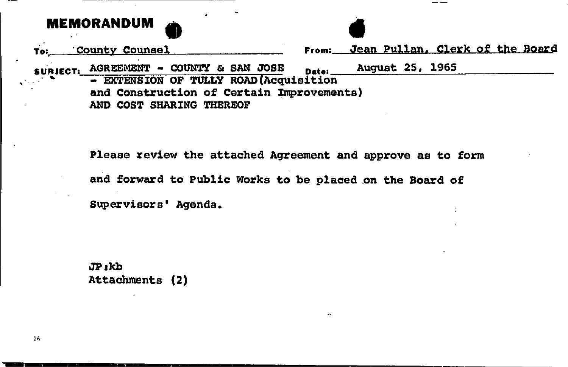**MEMORANDUM** 

Toi **County Counsel** From: **Jean Pullan. Clerk of the Board** 

URJECT: AGREEMENT - COUNTY & SAN JOSE p<sub>ate:</sub> August 25, 1965

 **- EXTENSION OP TULLY ROAD (Acquisition and Construction of Certain Improvements) AND COST SHARING THEREOF** 

**Please review the attached Agreement and approve as to form and forward to Public Works to be placed on the Board of** 

**Supervisors Agenda.** 

**JPskb Attachments (2)**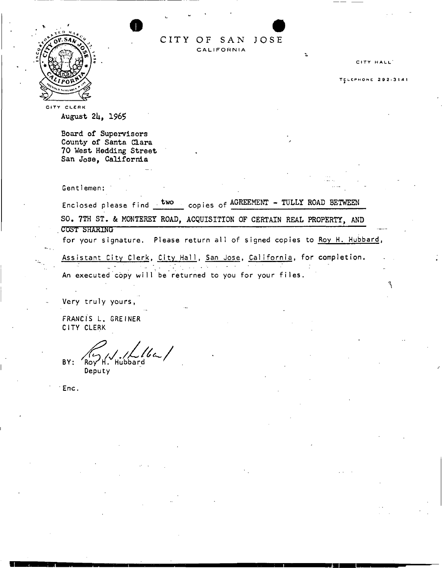

® • CITY OF SAN JOSE

**CALIFORNIA** 

CITY HAUL

telephone 292-3 14 1

٦

CITY CLERK **August** *2h,* **1965** 

> **Board of Supervisors County of Santa Clara 70 West Hedding Street San Jose, California**

Gent1emen: . . "

Enclosed please find two copies of AGREEMENT - TULLY ROAD BETWEEN **S O. 7TH ST. & MONTEREY ROAD, ACQUISITION OF CERTAIN REAL PROPERTY, AND COST SHARING**  for your signature. Please return all of signed copies to Roy H. Hubbard,

Assistant City Clerk, City Hall, San Jose, California, for completion. An executed copy will be returned to you for your files.

Very truly yours,

FRANCIS L. GREINER CITY CLERK

*/Sjjj/L/t^ /*  Br: Roy n. Hubbard  $\mathbf{f} = \mathbf{f}$ Deputy

Enc.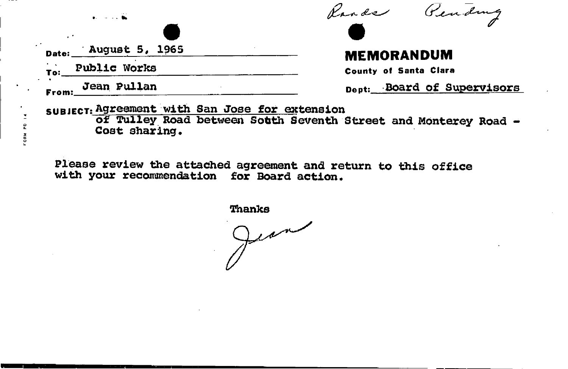Rands

Pending

**Date ! August 5, 1965 MEMORANDUM**  To: Public Works<br>
To: County of Santa Clara **From; Jea n**

ORM PD

 **Puilce Board of Supervisors** 

**SUBJECT: Agreement with San Jose for extension**  of Tulley Road between Sotth Seventh Street and Monterey Road -**Cost sharing.** 

**Please review the attached agreement and return to this office with your recommendation for Board action.** 

Thanks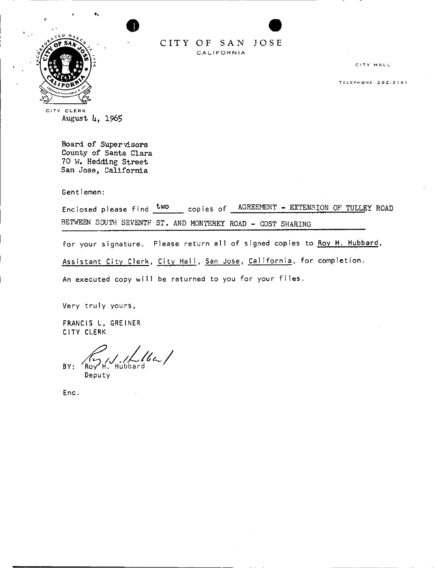

CITY OF SAN JOSE CALIFORNIA

CITY HALL

TELEPHONE 292-3 14)

CITY CLERK **August U, 1965** 

> **Board of Supervisors County of Santa Clara 70 w. Hedding Street San Jose, California**

Gentlemen:

Enclosed please find <sup>two</sup> copies of <u>AGREEMENT - EXTENSION OF TULLE</u>Y ROAD **BETWEEN SOUTH SEVENTH ST. AND MONTEREY ROAD - COST SHARING** 

for your signature. Please return all of signed copies to Roy H. Hubbard,

Assistant City Clerk, City Hall, San Jose, California, for completion.

An executed copy will be returned to you for your files.

Very truly yours,

FRANCIS L. GREINER CITY CLERK

 $116$ BY: ' Rov

Deputy

' Enc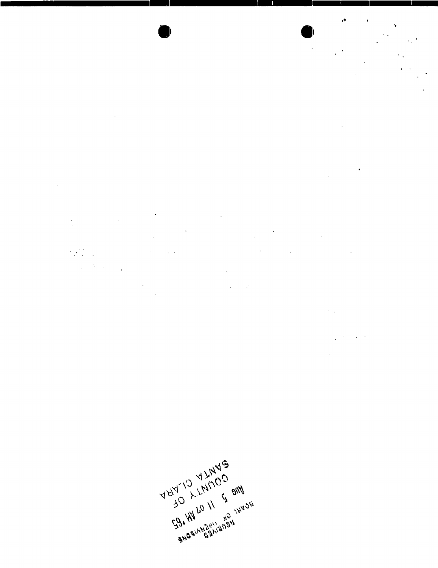

 $\frac{1}{2}$  , where  $\frac{1}{2}$  $\sim 1$  $\mathbf{A}^{(1)}$  and  $\mathcal{L}_{\mathcal{A}}$  $\sim 10$  $\mathcal{L}^{\mathcal{L}}(\mathcal{L}^{\mathcal{L}})$  and  $\mathcal{L}^{\mathcal{L}}(\mathcal{L}^{\mathcal{L}})$  and  $\mathcal{L}^{\mathcal{L}}(\mathcal{L}^{\mathcal{L}})$  $\sim 10$  $\sim 1$ 

 $\sim$   $\sim$  $\bar{z}$  $\label{eq:2.1} \frac{1}{2}\sum_{i=1}^n\frac{1}{2}\sum_{j=1}^n\frac{1}{2}\sum_{j=1}^n\frac{1}{2}\sum_{j=1}^n\frac{1}{2}\sum_{j=1}^n\frac{1}{2}\sum_{j=1}^n\frac{1}{2}\sum_{j=1}^n\frac{1}{2}\sum_{j=1}^n\frac{1}{2}\sum_{j=1}^n\frac{1}{2}\sum_{j=1}^n\frac{1}{2}\sum_{j=1}^n\frac{1}{2}\sum_{j=1}^n\frac{1}{2}\sum_{j=1}^n\frac{1}{2}\sum_{j=1}^n\$  $\ddot{\phantom{0}}$  $\hat{\mathcal{L}}_{\text{max}}$  $\frac{1}{\sqrt{2}}$  $\mathcal{L}^{(1)}$  $\label{eq:2.1} \mathcal{L}(\mathcal{A}) = \mathcal{L}(\mathcal{A}) = \mathcal{L}(\mathcal{A}) = \mathcal{L}(\mathcal{A})$  $\Delta \sim 10$ 

 $\ddot{\phantom{0}}$ 

 $\ddot{\phantom{0}}$  $\bar{\mathcal{A}}$ 

 $\Delta \sim 10^{11}$  $\alpha$ 

 $\mathbf{r}^{\dagger}$ 

 $\ddot{\phantom{a}}$ 

 $\bar{z}$ 

 $\bullet$ 

 $\mathcal{L}_{\mathrm{eff}}$ 

 $\epsilon_{\rm s}^{-1}$ 

 $\ddot{\phantom{a}}$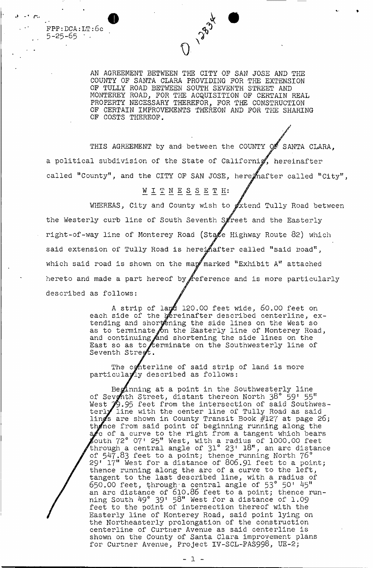PPP:DCA:LT:6c  $5 - 25 - 65$   $\cdot \cdot$ 

 $\mathcal{L} = \mathcal{L} \cup \mathcal{L}$ 

AN AGREEMENT BETWEEN THE CITY OF SAN JOSE AND THE COUNTY OF SANTA CLARA PROVIDING FOR THE EXTENSION OF TULLY ROAD BETWEEN SOUTH SEVENTH STREET AND MONTEREY ROAD, FOR THE ACQUISITION OF CERTAIN REAL PROPERTY NECESSARY THEREFOR, FOR THE CONSTRUCTION OF CERTAIN IMPROVEMENTS THEREON AND FOR THE SHARING OF COSTS THEREOF.

*\*   $\gamma$ 

 $\bigvee$ 

THIS AGREEMENT by and between the COUNTY OF SANTA CLARA. a political subdivision of the State of Californi $\mathscr{G}$ , hereinafter called "County", and the CITY OF SAN JOSE, heremafter called "City",

## <u>WITNESSETH</u>:

WHEREAS, City and County wish to  $\mathscr{X}$ xtend Tully Road between the Westerly curb line of South Seventh Seret and the Easterly right-of-way line of Monterey Road (Stage Highway Route 82) which said extension of Tully Road is hereinafter called "said road", which said road is shown on the map marked "Exhibit  $A''$  attached hereto and made a part hereof by  $r$ eference and is more particularly described as follows:

> A strip of la*r&* 120.00 feet wide, 60.00 feet on each side of the *y*ereinafter described centerline, extending and shortening the side lines on the West so as to terminate on the Easterly line of Monterey Road, and continuing and shortening the side lines on the East so as to *terminate* on the Southwesterly line of Seventh Streg

The conterline of said strip of land is more particularly described as follows:

Beginning at a point in the Southwesterly line of Sevghth Street, distant thereon North 38° 59' 55" West  $\cancel{9}$ .95 feet from the intersection of said Southwesterly line with the center line of Tully Road as said lings are shown in County Transit Book  $#127$  at page 26; thence from said point of beginning running along the  $\mathscr{J}$ c of a curve to the right from a tangent which bears outh 72° 07' 25" West, with a radius of 1000.00 feet  $\frac{1}{2}$  of  $\frac{2}{2}$  west, with a factus of 1000.00 feet<br>through a central angle of  $31^{\circ}$  23' 18", an arc distance of 547.83 feet to a point; thence running North 76° 29' 17" West for a distance of 806.91 feet to a point; thence running along the arc of a curve to the left, tangent to the last described line, with a radius of 650.00 feet, through'a central angle of 53° 50' 45" an arc distance of 610.86 feet to a point; thence runan are distance of 010.00 feed to a point, thence rule<br>ning South 49° 39' 58" West for a distance of 1.09 feet to the point of intersection thereof with the Easterly line of Monterey Road, said point lying on the Northeasterly prolongation of the construction centerline of Curtner Avenue as said centerline is shown on the County of Santa Clara improvement plans for Curtner Avenue, Project IV-SCL-FAS998, UE-2;

- 1 -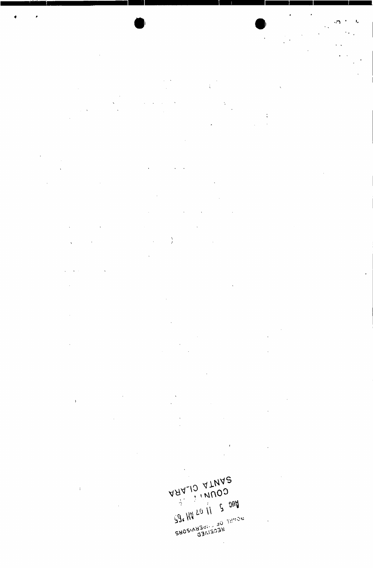For MA 50 11 2 aux SAOSIVASGITSOSS

 $\bar{\mathbf{r}}$ 

 $\bar{1}$ 

ï

 $\frac{1}{2}$ 

 $\mathbf{t}$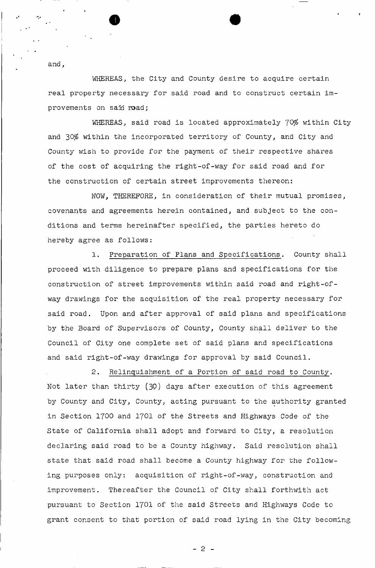WHEREAS, the City and County desire to acquire certain real property necessary for said road and to construct certain Improvements on said road;

WHEREAS, said road is located approximately 70% within City and 30% within the incorporated territory of County, and City and County wish to provide for the payment of their respective shares of the cost of acquiring the right-of-way for said road and for the construction of certain street improvements thereon:

NOW, THEREFORE, in consideration of their mutual promises, covenants and agreements herein contained, and subject to the conditions and terms hereinafter specified, the parties hereto do hereby agree as follows:

1. Preparation of Plans and Specifications. County shall proceed with diligence to prepare plans and specifications for the construction of street improvements within said road and right-ofway drawings for the acquisition of the real property necessary for said road. Upon and after approval of said plans and specifications by the Board of Supervisors of County, County shall deliver to the Council of City one complete set of said plans and specifications and said right-of-way drawings for approval by said Council.

2. Relinquishment of a Portion of said road to County. Not later than thirty (39) days after execution of this agreement by County and City, County, acting pursuant to the authority granted in Section 1700 and 1701 of the Streets and Highways Code of the State of California shall adopt and forward to City, a resolution declaring said road to be a County highway. Said resolution shall state that said road shall become a County highway for the following purposes only: acquisition of right-of-way, construction and improvement. Thereafter the Council of City shall forthwith act pursuant to Section 1701 of the said Streets and Highways Code to grant consent to that portion of said road lying in the City becoming

and,

- 2 -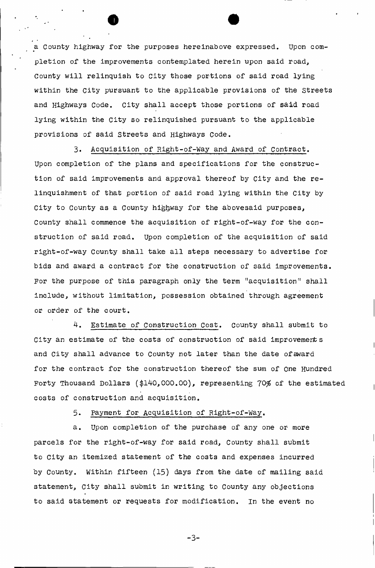**a County highway for the purposes hereinabove expressed. Upon completion of the improvements contemplated herein upon said road, County will relinquish to City those portions of said road lying within the City pursuant to the applicable provisions of the Streets and Highways Code. City shall accept those portions of said road lying within the City so relinquished pursuant to the applicable provisions of said Streets and Highways Code.** 

 $\bullet$ 

**3. Acquisition of Right-of-way and Award of Contract. Upon completion of the plans and specifications for the construction of said improvements and approval thereof by City and the relinquishment of that portion of said road lying within the City by City to County as a County highway for the abovesaid purposes, County shall commence the acquisition of right-of-way for the construction of said road. Upon completion of the acquisition of said right-of-way County shall take all steps necessary to advertise for bids and award a contract for the construction of said improvements. For the purpose of this paragraph only the term "acquisition" shall include, without limitation, possession obtained through agreement or order of the court.** 

4. **Estimate of Construction Cost. County shall submit to City an estimate of the costs of construction of said improvements and City shall advance to County not later than the date ofaward for the contract for the construction thereof the sum of One Hundred**  Forty Thousand Dollars (\$140,000.00), representing 70% of the estimated **costs of construction and acquisition.** 

**5. Payment for Acquisition of Right-of-way.** 

a. Upon completion of the purchase of any one or more parcels for the right-of-way for said road, County shall submit to City an itemized statement of the costs and expenses incurred by County. Within fifteen (15) days from the date of mailing said statement, City shall submit in writing to County any objections to said statement or requests for modification, in the event no

$$
-3-
$$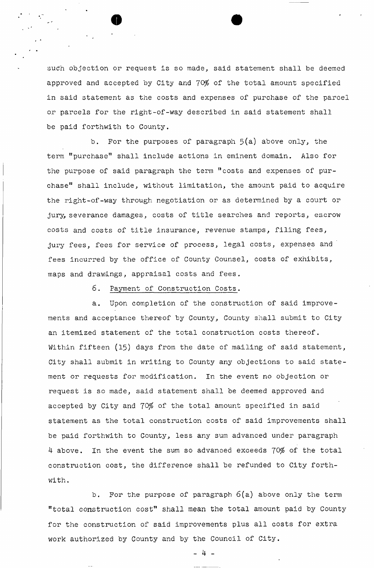such objection or request is so made, said statement shall be deemed approved and accepted by City and 70% of the total amount specified in said statement as the costs and expenses of purchase of the parcel or parcels for the right-of-way described in said statement shall be paid forthwith to County,

 $\bullet$ 

b. For the purposes of paragraph  $5(a)$  above only, the term "purchase" shall include actions in eminent domain. Also for the purpose of said paragraph the term "costs and expenses of purchase" shall include, without limitation, the amount paid to acquire the right-of-way through negotiation or as determined by a court or jury, severance damages, costs of title searches and reports, escrow costs and costs of title insurance, revenue stamps, filing fees, jury fees, fees for service of process, legal costs, expenses and fees incurred by the office of County Counsel, costs of exhibits, maps and drawings, appraisal costs and fees.

6 . Payment of Construction Costs.

a. Upon completion of the construction of said improvements and acceptance thereof by County, County shall submit to City an itemized statement of the total construction costs thereof. Within fifteen (15) days from the date of mailing of said statement, City shall submit in writing to County any objections to said statement or requests for modification. In the event no objection or request is so made, said statement shall be deemed approved and accepted by City and 70% of the total amount specified in said statement as the total construction costs of said improvements shall be paid forthwith to County, less any sum advanced under paragraph 4 above. In the event the sum so advanced exceeds 70% of the total construction cost, the difference shall be refunded to City forthwith.

b. For the purpose of paragraph  $6(a)$  above only the term "total construction cost" shall mean the total amount paid by County for the construction of said improvements plus all costs for extra work authorized by County and by the Council of City.

- 4 -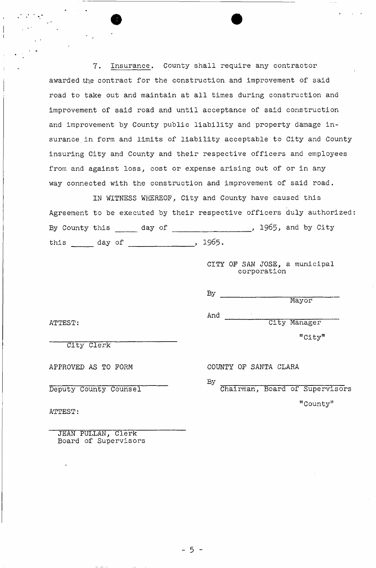7. Insurance. County shall require any contractor awarded the contract for the construction and improvement of said road to take out and maintain at all times during construction and improvement of said road and until acceptance of said construction and improvement by County public liability and property damage insurance in form and limits of liability acceptable to City and County insuring City and County and their respective officers and employees from and against loss, cost or expense arising out of or in any way connected with the construction and improvement of said road.

IN WITNESS WHEREOF, City and County have caused this Agreement to be executed by their respective officers duly authorized: By County this  $\frac{day \text{ of } (1965, and by City)}$ this  $\_\_$  day of  $\_\_$ , 1965.

> CITY OF SAN JOSE, a municipal corporation

|         | Bу  |              |
|---------|-----|--------------|
|         |     | Mayor        |
|         | And |              |
| ATTEST: |     | City Manager |
|         |     | "City"       |

City Clerk

APPROVED AS TO FORM COUNTY OF SANTA CLARA

**e** 

ATTEST:

JEAN PULLAN, Clerk Board of Supervisors

- 5 -

By

Deputy County Counsel Chairman, Board of Supervisors

"County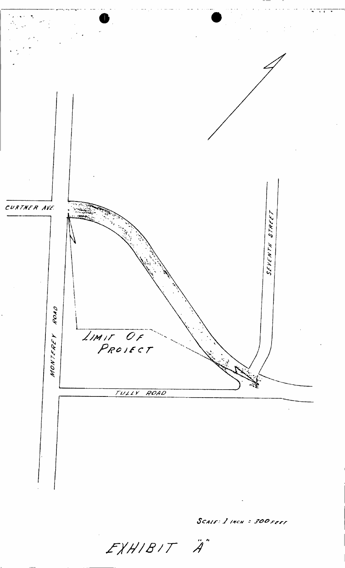

SCALE: 1 INCH = 300 FEET

EXHIBIT  $\mathscr A$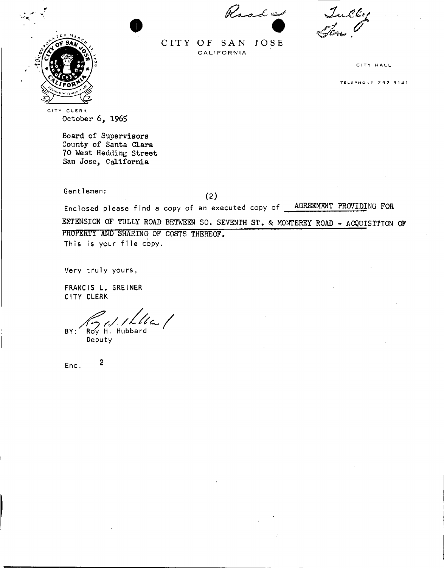Roades

Inclus



CITY OF SAN JOSE CALIFORNIA

CITY HALL

TELEPHONE 292- 3 14 <sup>1</sup>

CITY CLERK **October 6, 1965** 

> **Board of Supervisors County of Santa Clara 70 West Hedding Street San** Jose, **California**

 $\text{Gen}$ :  $(2)$ 

Enclosed please find a copy of an executed copy of **AGREEMENT PROVIDING FOR EXTENSION OF TULLY ROAD BETWEEN SO. SEVENTH ST. & MONTEREY ROAD - ACQUISITION OF PROPERTY AND SHARING OF COSTS THEREOF. This is** your **file** copy.

Very truly yours,

FRANCIS L. GREINER CITY CLERK

**BY:**  $\overline{Roy}$  **H**. Hubbard  $\sum_{i=1}^{n}$ 

Deputy

 $\overline{2}$ 

Enc.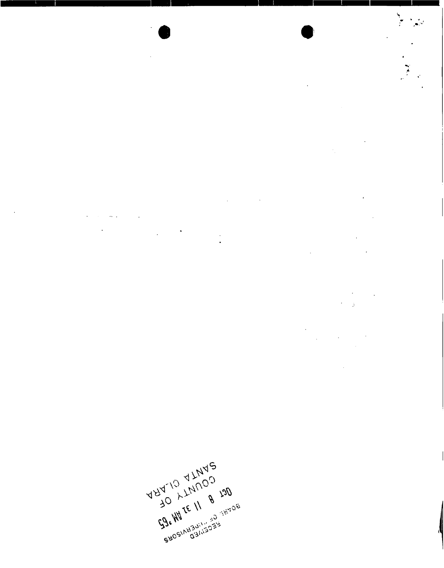YUNTIO YINDOS S. S. His TE II B LOD SBOSIAU33U113333

 $\ddot{\phantom{a}}$ 

 $\bar{z}$  $\ddot{\phantom{1}}$ 

s<br>Spiel

ÿ

 $\sum_{i=1}^{n}$ 

 $\ddot{\phantom{0}}$ 

 $\ddot{\phantom{0}}$ 

 $\ddot{\phantom{a}}$  $\hat{\vec{J}}$ 

 $\bar{z}$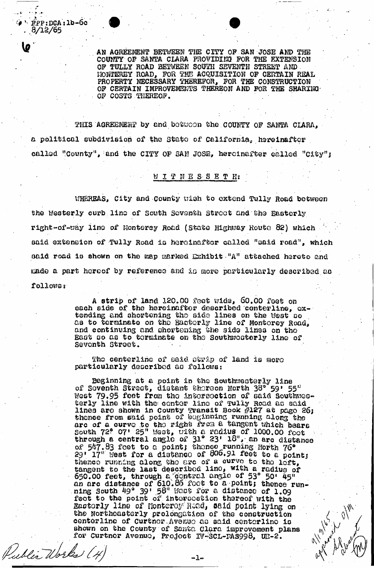AN AGREEMENT BETWEEN THE CITY OF SAN JOSE AND THE COUNTY OF SANTA CLARA FHOVIDIM FOR THE EXTENSION OF TULLY ROAD BETWEEN SOUTH SEVENTH STREET AND MONTEREY ROAD, FOR THE ACQUISITION OF CERTAIN REAL PROPERTY NECESSARY THEREFOR, FOR THE CONSTRUCTION OF CERTAIN IMPROVEMENTS THEREON AND FOR THE SHARING OF COSTS THEREOF.

**THIS AGREEMENT by and.** botooon **the COUNTY OF SANTA CLARA, a political subdivision of the Stato of California, hereinafter**  called "County", and the CITY OF SAN JOSE, hereinafter called "City";

**V EPP:DGA :lb-6o** 

Public Works (4)

**. 8/1S/65** 

## WISHES-S S **T** *tit*

**WHEREAS, City and County uish to extend Tully Road between**  the Westerly curb line of South Seventh Street and the Easterly **right-of-nay line of Monterey Road** (Stat© **Highway Route 82) which said extension of Tully Road is hereinafter called "said road , which •aid road io shown on the snap marked exhibit ."A" attached hereto and made a part hereof by reference and** io **more particularly described ao followst** 

> **A strip of land 120.00 feet wide, 60.00 feet on**  each side of the hereinafter described centerline, ox**tending and shortening tho** aide **lines on the west 00 as to terminate on the** Baotcrly **line of Monterey Road, and continuing and** shortening **the sido** lines **on** tho **East 00 as to torminate on** *tho* **Southwesterly line of Seventh street, .**

**The centerline of Q&id ots?&p of land is aoro particularly described ao follows:** 

**Beginning at a point in the Southwesterly line of Seventh Street, distant tfcoreon North** 38° **59' 55" West 79.95 foot from tho inSorsoction of said southwesterly line with the center line of Tully Road aa said lin&s are shown in county Transit Book #127 at page** *26;*  **thence from said point of beginning running along the**  arc of a curve to the right from a tangent which bears **South 72? 07\*** 25" **west, uifeh a radius of 1000.00 foot through a central angle of 31° 23' 18 1 ', an arc distance of 5^7\*93 £oet to a point| thonce running north 76® 29'** 17" **west for a distanco of 806,**91 **feet to a poiatj**  thence running along tho arc of a curve to the left, tangent to the last describod line, with a radius of tangent to the last described line, with a fadius of<br>650.00 feet, through a gentral angle of 53° 50' 45" an arc distance of 610.86 foct to a point; thence runan are distance of 010.00 foot to a point; thence r<br>ning South 49° 39' 58" West for a distance of 1.09<br>foot to the point of intersection thence with 10 feet to the point of intersection thereof with the **Easterly line of Monterey-'' Rand, oaid point lying on**  al miles the **Northeasterly prolongation of** the **construction centerline of curtner..Avenuo ao said centcrline io**  shown on the County of Santa Clara improvement plans **for Curtner Avenue, Project IV-SCL-FAS998, UE-2,** 

-1«

 $\frac{\partial V}{\partial x}$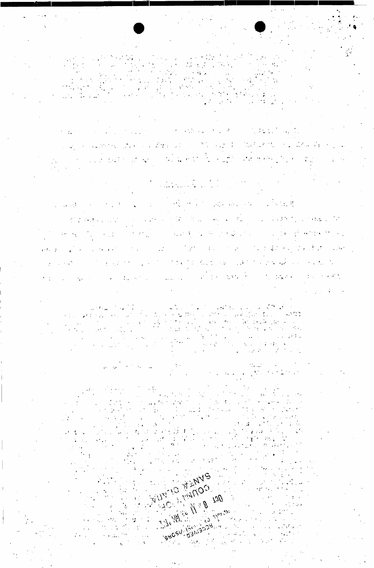$\label{eq:2.1} \frac{1}{2}\int_{\mathbb{R}^3}\left|\nabla\phi\right|^2\left|\nabla\phi\right|^2\left|\nabla\phi\right|^2\left|\nabla\phi\right|^2\left|\nabla\phi\right|^2\left|\nabla\phi\right|^2\left|\nabla\phi\right|^2\left|\nabla\phi\right|^2\left|\nabla\phi\right|^2\left|\nabla\phi\right|^2\left|\nabla\phi\right|^2\left|\nabla\phi\right|^2\left|\nabla\phi\right|^2\left|\nabla\phi\right|^2\left|\nabla\phi\right|^2\left|\nabla\phi\right|^2\left$  $\mathcal{L} = \mathcal{L} \mathcal{L} \mathcal{L}$  , where  $\mathcal{L}$ はっぽん しょ 差せおおた いっとび しゅうすう (伝承)決定している 高級 高い

 $\mathcal{L}_{\mathcal{A}}$  , where the contribution of the contribution of the contribution of the contribution of the contribution of the contribution of the contribution of the contribution of the contribution of the contribution o

a considerable contract to the contract of the second contract of the contract of the contract of the contract

and contract the second contract of the second contract of the process of substitutions where the ।<br>ਇਸ ਨਾਲ ਹੁੰਦਾ ਹੈ ਕਿ ਸਕਦਾ ਸ਼੍ਰੋਮ ਕਿ ਇਸ ਨਾਲ ਵੱਡੇ ਹਨ ਕਰਨ ਦਾ ਹਰ ਕਰੀਬ ਦੀ ਸਮਾਜਿਕ ਵਿੱਚ ਸ 网络 化二氯化 经通知 and a complete the contact of the complete of the contact of the contact of the state of the state of the conta the property of the state of particle and some state of a procedure of the a se programa de la constitución de la constitución de la constitución de la constitución de la constitución d

See on Bangage ...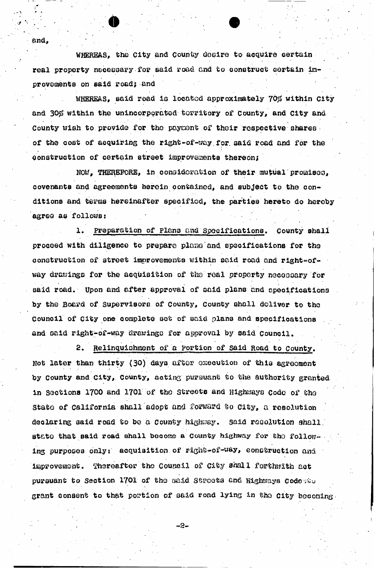**WHEREAS, the City and County deeire to acquire certain real property necessary for said road and to construct certain improvements on said road; and** 

WHEREAS, said road is locatod approximately 70% within City and 30% within the unincorporated torritory of County, and City and County wish to provide for the payment of their respective shares **of the cost of acquiring the right~of-way,for said road and for the qonstruction of certain street improvements thereon;** 

**NOW, THEREFORE, in consideration of their muttial 'promises, covenants and agreements herein contained, and subject to the conditions and terms hereinafter specified, the parties hereto do hereby agree as follows?** 

**1. preparation of Plana and specifications. County shall proceed with diligence to prepare plans'and specifications for the construction of street improvements** within **said road and right-ofway drawings for the acquisition of the real property necessary for**  said road. Upon and after approval of said plans and specifications **by the Board of Supervisors of County, County shall doliver to tho Council of City one complete** set **of** said **plans and specifications .**  and said right-of-way drawings for approval by said Council.

**2. Relinquishment of a portion of Said Road to County. Not later than thirty (30) days after oitecution of this agreement**  by County and City, County, acting pursuant to the authority granted **in sections 1700 and 1701 of the Streets and Highways Code of the Stato of California shall adopt and forward to City, a resolution declaring said road to be a cpunty highway. Said resolution shall,**  state that said road shall become a County highway for the follow**ing purposes only: acquisition of right-of-way, construction and improvement. Thereafter the Council of City snail forthwith act**  pursuant to Section 1701 of the said Streets and Highways Code **Bu grant consent to that portion of said road lying in the City becoming** 

**and,** 

**-a-**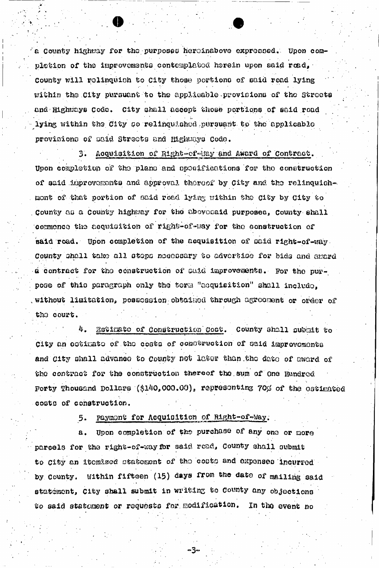a County highway for the purposed hereinabove expressed. Upon com**pletion of the improvements contesipl&tQd herein upon said read, County will relinquish to City those portions of said road lying Within tt^e City pursuant to the applioable.provisions of the street® and Highways code. City shall accept those portions of said road**  lying within the City so relinquished pursuant to the applicable **proviDiono of oaid Streets and Highways Code.** 

3. Aoquisition of Right-cf-Way and Award of Contract. **Upon completion of tho piano and opacifications for tho construction**  of said inprovements and approval thereof by City and the relinquishmont of that portion of said road lying uithin the City by City to **County as a County highway for tho abovooaid purposes, County shall commence the acquisition of ri£ht~o?~my for tho construction of said road.** Upon completion of the acquisition of said right-of-way **County shall talce all stops nooessary to advertise for bids and auard**  a contract for the construction of said improvements. For the pur**pose of thio paragraph only the tora "acquisition" shall include, /without limitation, possession obtained through agreement or order of tho court.** 

**Bstimte of Construction Coot. County shall oub'ait to**  4. City an estimate of the costs of conotruction of said improvoments **&nd city shall advance to coupty not; later than,tho date of award of**  the contract for the construction thereof the sum of One Hundred **Forty Thousand Dollars (\$1^0,000.00)<sup>f</sup> representing 700 of the estimated coots of construction.** 

**5. paymgnt for Acquisition of Right-of-way.;** 

**a. upon completion of the purchase of any one or more parcels for the right-of-way fbr said read, County shall submit**  to City an itemized statement of tho costs and expenses incurred **by County. Within fifteen (15) days from the dato of mailing said**  •« **statement, City shall submit in writing to County any objections to said statement or requests for modification. In tho event no**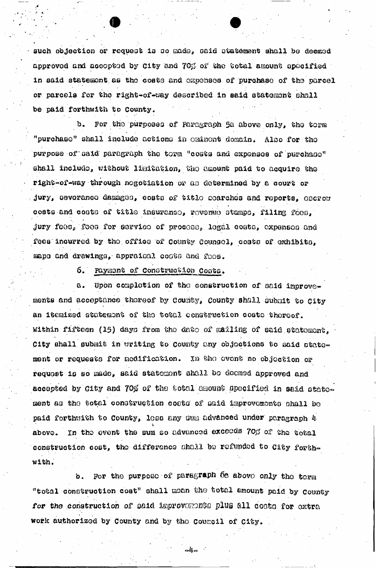such objection or request is so made, said statement shall be deemed approved and accopted by City and 70% of the total amount opecified **in said statement as th© costs and Gxpoases of purohaso of the parcel**  or parcels for the right-of-way described in said statement shall **bo paid forthwith to County,** 

**b.** For the purposes of Paragraph 5a above only, the torm **"purchase" ©hall include actions in oainont domain, Aloo for the?**  purpose of said paragraph the torm "costs and expenses of purchase" ahall includo, without limitation, tho amount paid to acquire the **right-of-way through negotiation or ao determined by a court or .Jury, oevoranco damage**Q**, costs of** titlo **ooaroh©® and reports, ooc?ow**  costs and coats of title insuranso, roverue stamps, filing foos, Jury fees, foes for service of process, legal coats, expenses and **fees incurred by tho office of County Coynaol, coats of Q&hibito,**  mapo and drawings, appraioal coots and foos.

> б. Paygant of Construction Coots.

a. Upon completion of the construction of said improvements and acceptance thereof by County, County shall submit to City an itemized statement of the total construction costs thoroof. Within fifteen (15) days from the date of mailing of said statement. **City ohall qubmit in writing to County any objections to said otato~ mont or requests for modification, xa tho ovont no objection or request is so made, said statemont shall bo deemed approved and accepted by City and 70% of the total amount specified in said statement as tho total construction cooto of oaid improvements ohall bo**  paid forthuith to County, less any sum advanced under paragraph 4 above. In the event the sum so advanced exceeds 70% of the total construction cost, the difference shall be refunded to City forth**with.** 

**b.** For the purpose of paragraph 6a above only the torm **"total construction coat" ohall** iaoan the **total amount paid by** County *for the* **eonatruction of oaid iffiprovosonfee plus fill ooofco for oxtra**  work authorized by County and by the Council of City.

ملاء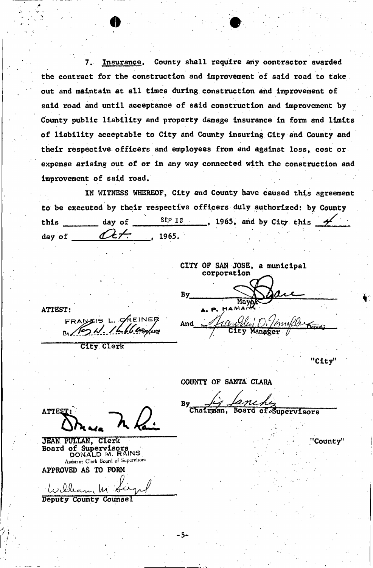**Insurance. County shall require any contractor awarded the contract for the construction and improvement of said road to take out and maintain at all times during construction and improvement of said road and until acceptance of said construction and improvement by County public liability and property damage insurance in form and limits of liability acceptable to City and County insuring City and County and their respective officers and employees from and against loss, cost or expense arising out of or in any way connected with the construction and improvement of said road,** 

**IN WITNESS WHEREOF, City and County have caused this agreement to be executed by their respective officers duly authorized: by County**  this  $\frac{d^{3}y}{dx^{2}}$  day of  $\frac{SEP 13}{dx^{3}}$ , 1965, and by City this  $\frac{4}{x^{3}}$ day of  $\ell$ *Ck***<sup>** $\ell$ **</sup>. 1965.** 

ATTEST: FRANSIS L

City Clerk

**CITY OF SAN JOSE, a municipal corporation**  By. **A. P. tiAMA And ^MaJlL l uity Manpfeer "City"** 

**"County"** 

**COUNTY OF SANTA CLARA** 

**By**  Board of Supervisors

ATTEST:

**JEAN PULLAN, Clerk Board of Supervisors DONAL D M. RAIN S**  Assistant Clerk -Board of Supcrvisora

**APPROVED AS TO FORM** 

Willeam **I**M **Deputy County Counsel** 

-5-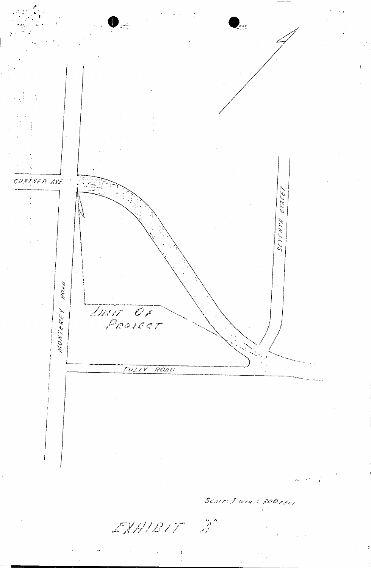